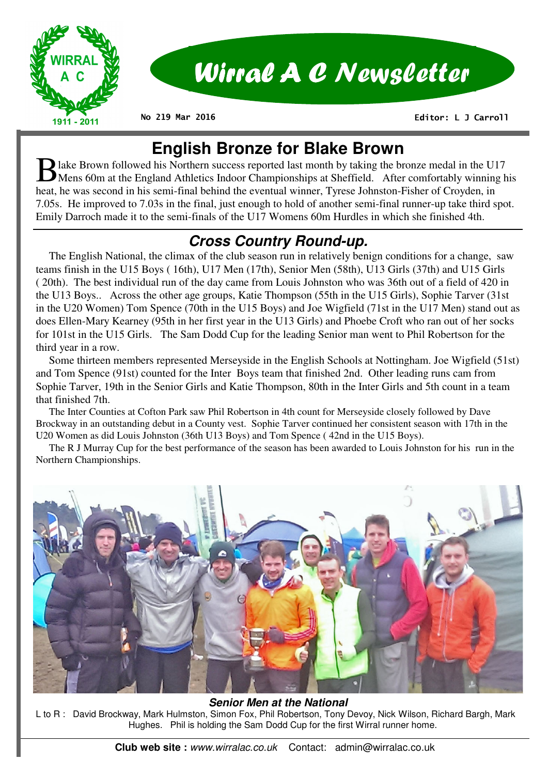

# Wirral A C Newsletter

**No 219 Mar 2016** 

 **Editor: L J Carroll** 

## **English Bronze for Blake Brown**

B lake Brown followed his Northern success reported last month by taking the bronze medal in the U17 Mens 60m at the England Athletics Indoor Championships at Sheffield. After comfortably winning his heat, he was second in his semi-final behind the eventual winner, Tyrese Johnston-Fisher of Croyden, in 7.05s. He improved to 7.03s in the final, just enough to hold of another semi-final runner-up take third spot. Emily Darroch made it to the semi-finals of the U17 Womens 60m Hurdles in which she finished 4th.

## **Cross Country Round-up.**

 The English National, the climax of the club season run in relatively benign conditions for a change, saw teams finish in the U15 Boys ( 16th), U17 Men (17th), Senior Men (58th), U13 Girls (37th) and U15 Girls ( 20th). The best individual run of the day came from Louis Johnston who was 36th out of a field of 420 in the U13 Boys.. Across the other age groups, Katie Thompson (55th in the U15 Girls), Sophie Tarver (31st in the U20 Women) Tom Spence (70th in the U15 Boys) and Joe Wigfield (71st in the U17 Men) stand out as does Ellen-Mary Kearney (95th in her first year in the U13 Girls) and Phoebe Croft who ran out of her socks for 101st in the U15 Girls. The Sam Dodd Cup for the leading Senior man went to Phil Robertson for the third year in a row.

 Some thirteen members represented Merseyside in the English Schools at Nottingham. Joe Wigfield (51st) and Tom Spence (91st) counted for the Inter Boys team that finished 2nd. Other leading runs cam from Sophie Tarver, 19th in the Senior Girls and Katie Thompson, 80th in the Inter Girls and 5th count in a team that finished 7th.

 The Inter Counties at Cofton Park saw Phil Robertson in 4th count for Merseyside closely followed by Dave Brockway in an outstanding debut in a County vest. Sophie Tarver continued her consistent season with 17th in the U20 Women as did Louis Johnston (36th U13 Boys) and Tom Spence ( 42nd in the U15 Boys).

 The R J Murray Cup for the best performance of the season has been awarded to Louis Johnston for his run in the Northern Championships.



#### **Senior Men at the National**

L to R : David Brockway, Mark Hulmston, Simon Fox, Phil Robertson, Tony Devoy, Nick Wilson, Richard Bargh, Mark Hughes. Phil is holding the Sam Dodd Cup for the first Wirral runner home.